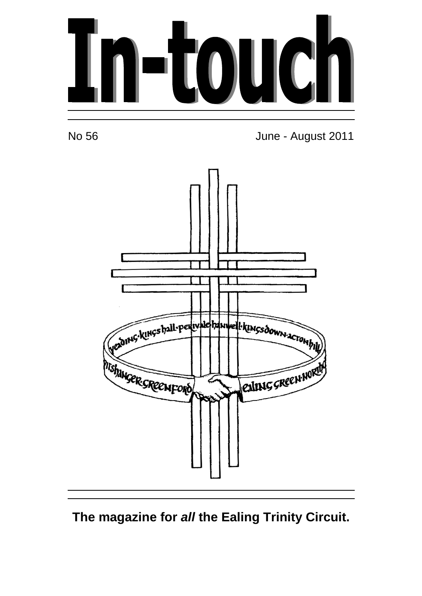



No 56 June - August 2011



## **The magazine for all the Ealing Trinity Circuit.**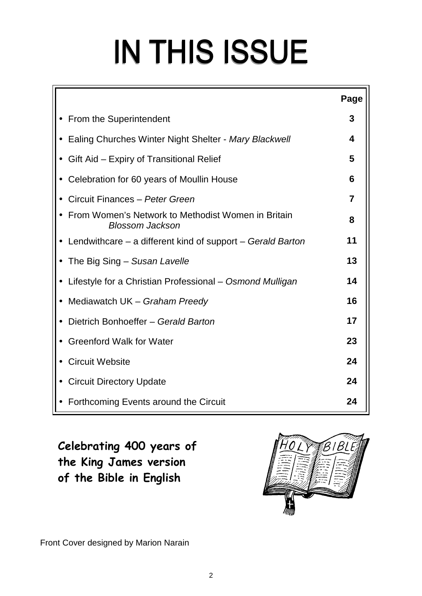# **IN THIS ISSUE**

|                                                                              | Page |
|------------------------------------------------------------------------------|------|
| <b>From the Superintendent</b>                                               | 3    |
| Ealing Churches Winter Night Shelter - Mary Blackwell                        | 4    |
| Gift Aid - Expiry of Transitional Relief                                     | 5    |
| Celebration for 60 years of Moullin House                                    | 6    |
| Circuit Finances - Peter Green                                               | 7    |
| From Women's Network to Methodist Women in Britain<br><b>Blossom Jackson</b> | 8    |
| • Lendwithcare $-$ a different kind of support $-$ Gerald Barton             | 11   |
| The Big Sing – Susan Lavelle                                                 | 13   |
| Lifestyle for a Christian Professional - Osmond Mulligan                     | 14   |
| Mediawatch UK - Graham Preedy                                                | 16   |
| Dietrich Bonhoeffer - Gerald Barton                                          | 17   |
| <b>Greenford Walk for Water</b>                                              | 23   |
| <b>Circuit Website</b>                                                       | 24   |
| <b>Circuit Directory Update</b>                                              | 24   |
| • Forthcoming Events around the Circuit                                      | 24   |

**Celebrating 400 years of the King James version of the Bible in English** 



Front Cover designed by Marion Narain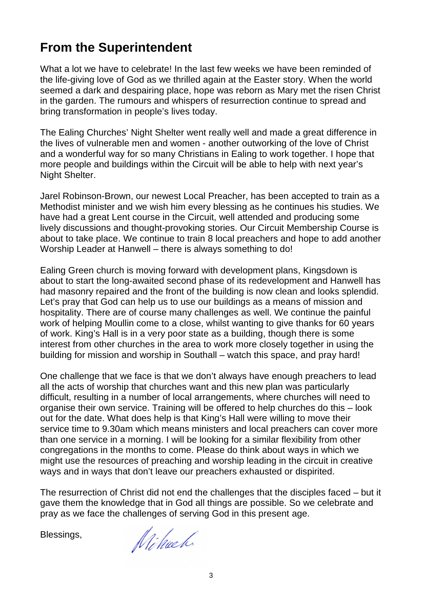## **From the Superintendent**

What a lot we have to celebrate! In the last few weeks we have been reminded of the life-giving love of God as we thrilled again at the Easter story. When the world seemed a dark and despairing place, hope was reborn as Mary met the risen Christ in the garden. The rumours and whispers of resurrection continue to spread and bring transformation in people's lives today.

The Ealing Churches' Night Shelter went really well and made a great difference in the lives of vulnerable men and women - another outworking of the love of Christ and a wonderful way for so many Christians in Ealing to work together. I hope that more people and buildings within the Circuit will be able to help with next year's Night Shelter.

Jarel Robinson-Brown, our newest Local Preacher, has been accepted to train as a Methodist minister and we wish him every blessing as he continues his studies. We have had a great Lent course in the Circuit, well attended and producing some lively discussions and thought-provoking stories. Our Circuit Membership Course is about to take place. We continue to train 8 local preachers and hope to add another Worship Leader at Hanwell – there is always something to do!

Ealing Green church is moving forward with development plans, Kingsdown is about to start the long-awaited second phase of its redevelopment and Hanwell has had masonry repaired and the front of the building is now clean and looks splendid. Let's pray that God can help us to use our buildings as a means of mission and hospitality. There are of course many challenges as well. We continue the painful work of helping Moullin come to a close, whilst wanting to give thanks for 60 years of work. King's Hall is in a very poor state as a building, though there is some interest from other churches in the area to work more closely together in using the building for mission and worship in Southall – watch this space, and pray hard!

One challenge that we face is that we don't always have enough preachers to lead all the acts of worship that churches want and this new plan was particularly difficult, resulting in a number of local arrangements, where churches will need to organise their own service. Training will be offered to help churches do this – look out for the date. What does help is that King's Hall were willing to move their service time to 9.30am which means ministers and local preachers can cover more than one service in a morning. I will be looking for a similar flexibility from other congregations in the months to come. Please do think about ways in which we might use the resources of preaching and worship leading in the circuit in creative ways and in ways that don't leave our preachers exhausted or dispirited.

The resurrection of Christ did not end the challenges that the disciples faced – but it gave them the knowledge that in God all things are possible. So we celebrate and pray as we face the challenges of serving God in this present age.

Blessings,

Nihach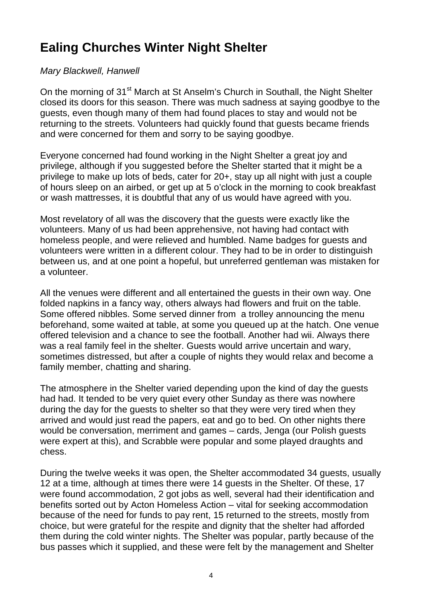## **Ealing Churches Winter Night Shelter**

#### Mary Blackwell, Hanwell

On the morning of 31<sup>st</sup> March at St Anselm's Church in Southall, the Night Shelter closed its doors for this season. There was much sadness at saying goodbye to the guests, even though many of them had found places to stay and would not be returning to the streets. Volunteers had quickly found that guests became friends and were concerned for them and sorry to be saying goodbye.

Everyone concerned had found working in the Night Shelter a great joy and privilege, although if you suggested before the Shelter started that it might be a privilege to make up lots of beds, cater for 20+, stay up all night with just a couple of hours sleep on an airbed, or get up at 5 o'clock in the morning to cook breakfast or wash mattresses, it is doubtful that any of us would have agreed with you.

Most revelatory of all was the discovery that the guests were exactly like the volunteers. Many of us had been apprehensive, not having had contact with homeless people, and were relieved and humbled. Name badges for guests and volunteers were written in a different colour. They had to be in order to distinguish between us, and at one point a hopeful, but unreferred gentleman was mistaken for a volunteer.

All the venues were different and all entertained the guests in their own way. One folded napkins in a fancy way, others always had flowers and fruit on the table. Some offered nibbles. Some served dinner from a trolley announcing the menu beforehand, some waited at table, at some you queued up at the hatch. One venue offered television and a chance to see the football. Another had wii. Always there was a real family feel in the shelter. Guests would arrive uncertain and wary, sometimes distressed, but after a couple of nights they would relax and become a family member, chatting and sharing.

The atmosphere in the Shelter varied depending upon the kind of day the guests had had. It tended to be very quiet every other Sunday as there was nowhere during the day for the guests to shelter so that they were very tired when they arrived and would just read the papers, eat and go to bed. On other nights there would be conversation, merriment and games – cards, Jenga (our Polish guests were expert at this), and Scrabble were popular and some played draughts and chess.

During the twelve weeks it was open, the Shelter accommodated 34 guests, usually 12 at a time, although at times there were 14 guests in the Shelter. Of these, 17 were found accommodation, 2 got jobs as well, several had their identification and benefits sorted out by Acton Homeless Action – vital for seeking accommodation because of the need for funds to pay rent, 15 returned to the streets, mostly from choice, but were grateful for the respite and dignity that the shelter had afforded them during the cold winter nights. The Shelter was popular, partly because of the bus passes which it supplied, and these were felt by the management and Shelter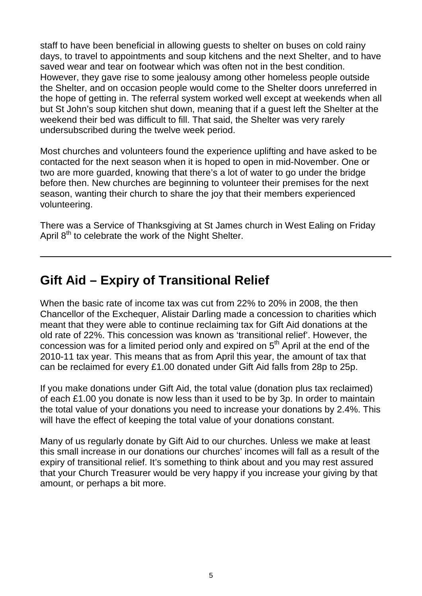staff to have been beneficial in allowing guests to shelter on buses on cold rainy days, to travel to appointments and soup kitchens and the next Shelter, and to have saved wear and tear on footwear which was often not in the best condition. However, they gave rise to some jealousy among other homeless people outside the Shelter, and on occasion people would come to the Shelter doors unreferred in the hope of getting in. The referral system worked well except at weekends when all but St John's soup kitchen shut down, meaning that if a guest left the Shelter at the weekend their bed was difficult to fill. That said, the Shelter was very rarely undersubscribed during the twelve week period.

Most churches and volunteers found the experience uplifting and have asked to be contacted for the next season when it is hoped to open in mid-November. One or two are more guarded, knowing that there's a lot of water to go under the bridge before then. New churches are beginning to volunteer their premises for the next season, wanting their church to share the joy that their members experienced volunteering.

There was a Service of Thanksgiving at St James church in West Ealing on Friday April  $8<sup>th</sup>$  to celebrate the work of the Night Shelter.

## **Gift Aid – Expiry of Transitional Relief**

When the basic rate of income tax was cut from 22% to 20% in 2008, the then Chancellor of the Exchequer, Alistair Darling made a concession to charities which meant that they were able to continue reclaiming tax for Gift Aid donations at the old rate of 22%. This concession was known as 'transitional relief'. However, the concession was for a limited period only and expired on  $5<sup>th</sup>$  April at the end of the 2010-11 tax year. This means that as from April this year, the amount of tax that can be reclaimed for every £1.00 donated under Gift Aid falls from 28p to 25p.

If you make donations under Gift Aid, the total value (donation plus tax reclaimed) of each £1.00 you donate is now less than it used to be by 3p. In order to maintain the total value of your donations you need to increase your donations by 2.4%. This will have the effect of keeping the total value of your donations constant.

Many of us regularly donate by Gift Aid to our churches. Unless we make at least this small increase in our donations our churches' incomes will fall as a result of the expiry of transitional relief. It's something to think about and you may rest assured that your Church Treasurer would be very happy if you increase your giving by that amount, or perhaps a bit more.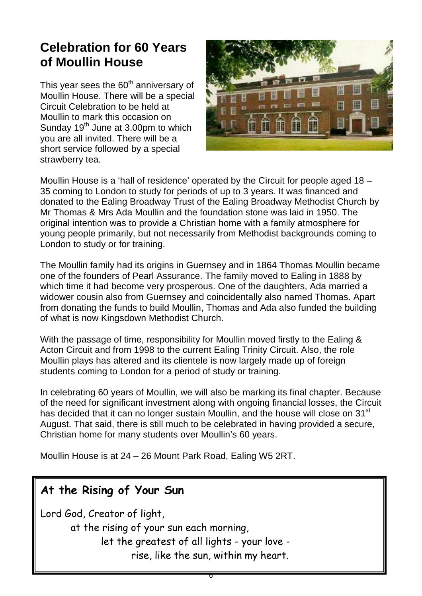## **Celebration for 60 Years of Moullin House**

This year sees the  $60<sup>th</sup>$  anniversary of Moullin House. There will be a special Circuit Celebration to be held at Moullin to mark this occasion on Sunday  $19<sup>th</sup>$  June at 3.00pm to which you are all invited. There will be a short service followed by a special strawberry tea.



Moullin House is a 'hall of residence' operated by the Circuit for people aged 18 – 35 coming to London to study for periods of up to 3 years. It was financed and donated to the Ealing Broadway Trust of the Ealing Broadway Methodist Church by Mr Thomas & Mrs Ada Moullin and the foundation stone was laid in 1950. The original intention was to provide a Christian home with a family atmosphere for young people primarily, but not necessarily from Methodist backgrounds coming to London to study or for training.

The Moullin family had its origins in Guernsey and in 1864 Thomas Moullin became one of the founders of Pearl Assurance. The family moved to Ealing in 1888 by which time it had become very prosperous. One of the daughters, Ada married a widower cousin also from Guernsey and coincidentally also named Thomas. Apart from donating the funds to build Moullin, Thomas and Ada also funded the building of what is now Kingsdown Methodist Church.

With the passage of time, responsibility for Moullin moved firstly to the Ealing & Acton Circuit and from 1998 to the current Ealing Trinity Circuit. Also, the role Moullin plays has altered and its clientele is now largely made up of foreign students coming to London for a period of study or training.

In celebrating 60 years of Moullin, we will also be marking its final chapter. Because of the need for significant investment along with ongoing financial losses, the Circuit has decided that it can no longer sustain Moullin, and the house will close on 31<sup>st</sup> August. That said, there is still much to be celebrated in having provided a secure, Christian home for many students over Moullin's 60 years.

6

Moullin House is at 24 – 26 Mount Park Road, Ealing W5 2RT.

#### **At the Rising of Your Sun**

Lord God, Creator of light,

at the rising of your sun each morning, let the greatest of all lights - your love rise, like the sun, within my heart.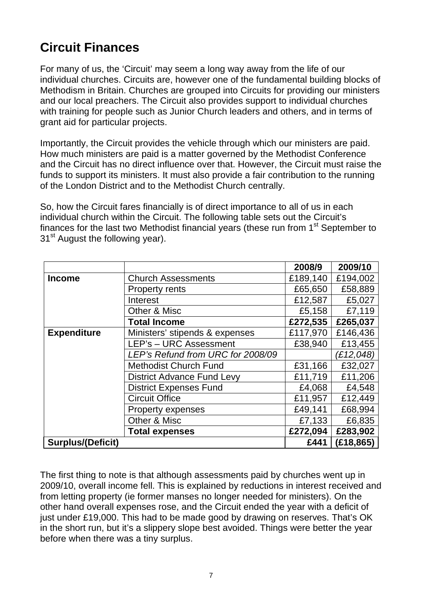## **Circuit Finances**

For many of us, the 'Circuit' may seem a long way away from the life of our individual churches. Circuits are, however one of the fundamental building blocks of Methodism in Britain. Churches are grouped into Circuits for providing our ministers and our local preachers. The Circuit also provides support to individual churches with training for people such as Junior Church leaders and others, and in terms of grant aid for particular projects.

Importantly, the Circuit provides the vehicle through which our ministers are paid. How much ministers are paid is a matter governed by the Methodist Conference and the Circuit has no direct influence over that. However, the Circuit must raise the funds to support its ministers. It must also provide a fair contribution to the running of the London District and to the Methodist Church centrally.

So, how the Circuit fares financially is of direct importance to all of us in each individual church within the Circuit. The following table sets out the Circuit's finances for the last two Methodist financial years (these run from  $1<sup>st</sup>$  September to 31<sup>st</sup> August the following year).

|                          |                                   | 2008/9   | 2009/10    |
|--------------------------|-----------------------------------|----------|------------|
| <b>Income</b>            | <b>Church Assessments</b>         | £189,140 | £194,002   |
|                          | <b>Property rents</b>             | £65,650  | £58,889    |
|                          | Interest                          | £12,587  | £5,027     |
|                          | Other & Misc                      | £5,158   | £7,119     |
|                          | <b>Total Income</b>               | £272,535 | £265,037   |
| <b>Expenditure</b>       | Ministers' stipends & expenses    | £117,970 | £146,436   |
|                          | LEP's - URC Assessment            | £38,940  | £13,455    |
|                          | LEP's Refund from URC for 2008/09 |          | (£12,048)  |
|                          | <b>Methodist Church Fund</b>      | £31,166  | £32,027    |
|                          | <b>District Advance Fund Levy</b> | £11,719  | £11,206    |
|                          | <b>District Expenses Fund</b>     | £4,068   | £4,548     |
|                          | <b>Circuit Office</b>             | £11,957  | £12,449    |
|                          | Property expenses                 | £49,141  | £68,994    |
|                          | Other & Misc                      | £7,133   | £6,835     |
|                          | <b>Total expenses</b>             | £272,094 | £283,902   |
| <b>Surplus/(Deficit)</b> |                                   | £441     | (E18, 865) |

The first thing to note is that although assessments paid by churches went up in 2009/10, overall income fell. This is explained by reductions in interest received and from letting property (ie former manses no longer needed for ministers). On the other hand overall expenses rose, and the Circuit ended the year with a deficit of just under £19,000. This had to be made good by drawing on reserves. That's OK in the short run, but it's a slippery slope best avoided. Things were better the year before when there was a tiny surplus.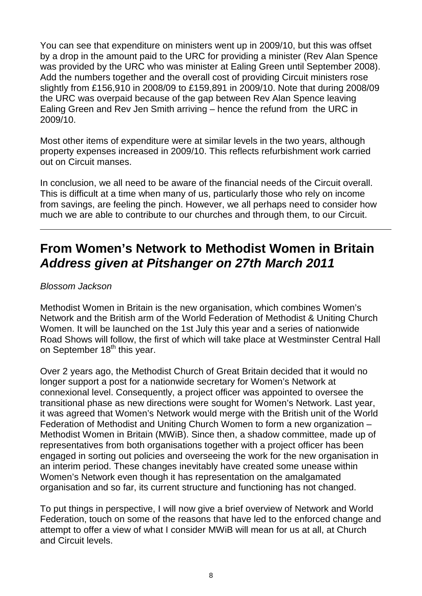You can see that expenditure on ministers went up in 2009/10, but this was offset by a drop in the amount paid to the URC for providing a minister (Rev Alan Spence was provided by the URC who was minister at Ealing Green until September 2008). Add the numbers together and the overall cost of providing Circuit ministers rose slightly from £156,910 in 2008/09 to £159,891 in 2009/10. Note that during 2008/09 the URC was overpaid because of the gap between Rev Alan Spence leaving Ealing Green and Rev Jen Smith arriving – hence the refund from the URC in 2009/10.

Most other items of expenditure were at similar levels in the two years, although property expenses increased in 2009/10. This reflects refurbishment work carried out on Circuit manses.

In conclusion, we all need to be aware of the financial needs of the Circuit overall. This is difficult at a time when many of us, particularly those who rely on income from savings, are feeling the pinch. However, we all perhaps need to consider how much we are able to contribute to our churches and through them, to our Circuit.

## **From Women's Network to Methodist Women in Britain Address given at Pitshanger on 27th March 2011**

#### Blossom Jackson

Methodist Women in Britain is the new organisation, which combines Women's Network and the British arm of the World Federation of Methodist & Uniting Church Women. It will be launched on the 1st July this year and a series of nationwide Road Shows will follow, the first of which will take place at Westminster Central Hall on September 18<sup>th</sup> this year.

Over 2 years ago, the Methodist Church of Great Britain decided that it would no longer support a post for a nationwide secretary for Women's Network at connexional level. Consequently, a project officer was appointed to oversee the transitional phase as new directions were sought for Women's Network. Last year, it was agreed that Women's Network would merge with the British unit of the World Federation of Methodist and Uniting Church Women to form a new organization – Methodist Women in Britain (MWiB). Since then, a shadow committee, made up of representatives from both organisations together with a project officer has been engaged in sorting out policies and overseeing the work for the new organisation in an interim period. These changes inevitably have created some unease within Women's Network even though it has representation on the amalgamated organisation and so far, its current structure and functioning has not changed.

To put things in perspective, I will now give a brief overview of Network and World Federation, touch on some of the reasons that have led to the enforced change and attempt to offer a view of what I consider MWiB will mean for us at all, at Church and Circuit levels.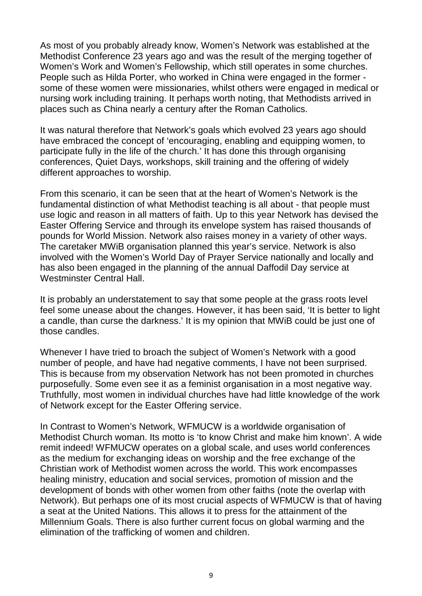As most of you probably already know, Women's Network was established at the Methodist Conference 23 years ago and was the result of the merging together of Women's Work and Women's Fellowship, which still operates in some churches. People such as Hilda Porter, who worked in China were engaged in the former some of these women were missionaries, whilst others were engaged in medical or nursing work including training. It perhaps worth noting, that Methodists arrived in places such as China nearly a century after the Roman Catholics.

It was natural therefore that Network's goals which evolved 23 years ago should have embraced the concept of 'encouraging, enabling and equipping women, to participate fully in the life of the church.' It has done this through organising conferences, Quiet Days, workshops, skill training and the offering of widely different approaches to worship.

From this scenario, it can be seen that at the heart of Women's Network is the fundamental distinction of what Methodist teaching is all about - that people must use logic and reason in all matters of faith. Up to this year Network has devised the Easter Offering Service and through its envelope system has raised thousands of pounds for World Mission. Network also raises money in a variety of other ways. The caretaker MWiB organisation planned this year's service. Network is also involved with the Women's World Day of Prayer Service nationally and locally and has also been engaged in the planning of the annual Daffodil Day service at Westminster Central Hall

It is probably an understatement to say that some people at the grass roots level feel some unease about the changes. However, it has been said, 'It is better to light a candle, than curse the darkness.' It is my opinion that MWiB could be just one of those candles.

Whenever I have tried to broach the subject of Women's Network with a good number of people, and have had negative comments, I have not been surprised. This is because from my observation Network has not been promoted in churches purposefully. Some even see it as a feminist organisation in a most negative way. Truthfully, most women in individual churches have had little knowledge of the work of Network except for the Easter Offering service.

In Contrast to Women's Network, WFMUCW is a worldwide organisation of Methodist Church woman. Its motto is 'to know Christ and make him known'. A wide remit indeed! WFMUCW operates on a global scale, and uses world conferences as the medium for exchanging ideas on worship and the free exchange of the Christian work of Methodist women across the world. This work encompasses healing ministry, education and social services, promotion of mission and the development of bonds with other women from other faiths (note the overlap with Network). But perhaps one of its most crucial aspects of WFMUCW is that of having a seat at the United Nations. This allows it to press for the attainment of the Millennium Goals. There is also further current focus on global warming and the elimination of the trafficking of women and children.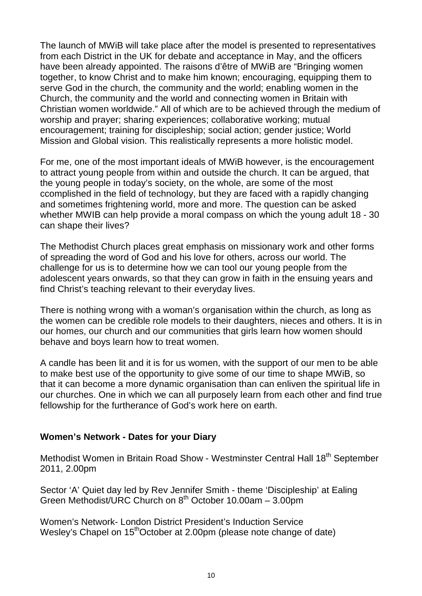The launch of MWiB will take place after the model is presented to representatives from each District in the UK for debate and acceptance in May, and the officers have been already appointed. The raisons d'être of MWiB are "Bringing women together, to know Christ and to make him known; encouraging, equipping them to serve God in the church, the community and the world; enabling women in the Church, the community and the world and connecting women in Britain with Christian women worldwide." All of which are to be achieved through the medium of worship and prayer; sharing experiences; collaborative working; mutual encouragement; training for discipleship; social action; gender justice; World Mission and Global vision. This realistically represents a more holistic model.

For me, one of the most important ideals of MWiB however, is the encouragement to attract young people from within and outside the church. It can be argued, that the young people in today's society, on the whole, are some of the most ccomplished in the field of technology, but they are faced with a rapidly changing and sometimes frightening world, more and more. The question can be asked whether MWIB can help provide a moral compass on which the young adult 18 - 30 can shape their lives?

The Methodist Church places great emphasis on missionary work and other forms of spreading the word of God and his love for others, across our world. The challenge for us is to determine how we can tool our young people from the adolescent years onwards, so that they can grow in faith in the ensuing years and find Christ's teaching relevant to their everyday lives.

There is nothing wrong with a woman's organisation within the church, as long as the women can be credible role models to their daughters, nieces and others. It is in our homes, our church and our communities that girls learn how women should behave and boys learn how to treat women.

A candle has been lit and it is for us women, with the support of our men to be able to make best use of the opportunity to give some of our time to shape MWiB, so that it can become a more dynamic organisation than can enliven the spiritual life in our churches. One in which we can all purposely learn from each other and find true fellowship for the furtherance of God's work here on earth.

#### **Women's Network - Dates for your Diary**

Methodist Women in Britain Road Show - Westminster Central Hall 18<sup>th</sup> September 2011, 2.00pm

Sector 'A' Quiet day led by Rev Jennifer Smith - theme 'Discipleship' at Ealing Green Methodist/URC Church on 8th October 10.00am – 3.00pm

Women's Network- London District President's Induction Service Wesley's Chapel on 15<sup>th</sup>October at 2.00pm (please note change of date)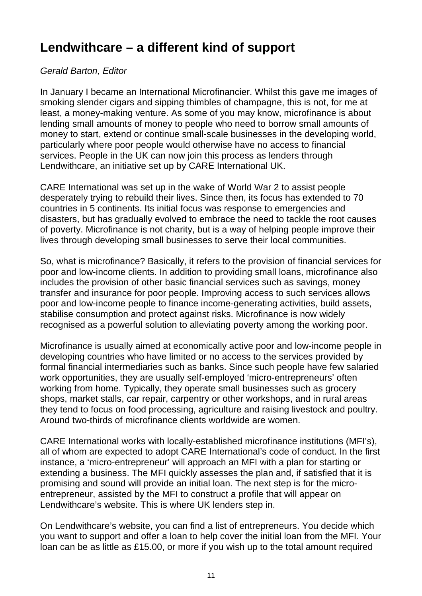## **Lendwithcare – a different kind of support**

#### Gerald Barton, Editor

In January I became an International Microfinancier. Whilst this gave me images of smoking slender cigars and sipping thimbles of champagne, this is not, for me at least, a money-making venture. As some of you may know, microfinance is about lending small amounts of money to people who need to borrow small amounts of money to start, extend or continue small-scale businesses in the developing world, particularly where poor people would otherwise have no access to financial services. People in the UK can now join this process as lenders through Lendwithcare, an initiative set up by CARE International UK.

CARE International was set up in the wake of World War 2 to assist people desperately trying to rebuild their lives. Since then, its focus has extended to 70 countries in 5 continents. Its initial focus was response to emergencies and disasters, but has gradually evolved to embrace the need to tackle the root causes of poverty. Microfinance is not charity, but is a way of helping people improve their lives through developing small businesses to serve their local communities.

So, what is microfinance? Basically, it refers to the provision of financial services for poor and low-income clients. In addition to providing small loans, microfinance also includes the provision of other basic financial services such as savings, money transfer and insurance for poor people. Improving access to such services allows poor and low-income people to finance income-generating activities, build assets, stabilise consumption and protect against risks. Microfinance is now widely recognised as a powerful solution to alleviating poverty among the working poor.

Microfinance is usually aimed at economically active poor and low-income people in developing countries who have limited or no access to the services provided by formal financial intermediaries such as banks. Since such people have few salaried work opportunities, they are usually self-employed 'micro-entrepreneurs' often working from home. Typically, they operate small businesses such as grocery shops, market stalls, car repair, carpentry or other workshops, and in rural areas they tend to focus on food processing, agriculture and raising livestock and poultry. Around two-thirds of microfinance clients worldwide are women.

CARE International works with locally-established microfinance institutions (MFI's), all of whom are expected to adopt CARE International's code of conduct. In the first instance, a 'micro-entrepreneur' will approach an MFI with a plan for starting or extending a business. The MFI quickly assesses the plan and, if satisfied that it is promising and sound will provide an initial loan. The next step is for the microentrepreneur, assisted by the MFI to construct a profile that will appear on Lendwithcare's website. This is where UK lenders step in.

On Lendwithcare's website, you can find a list of entrepreneurs. You decide which you want to support and offer a loan to help cover the initial loan from the MFI. Your loan can be as little as £15.00, or more if you wish up to the total amount required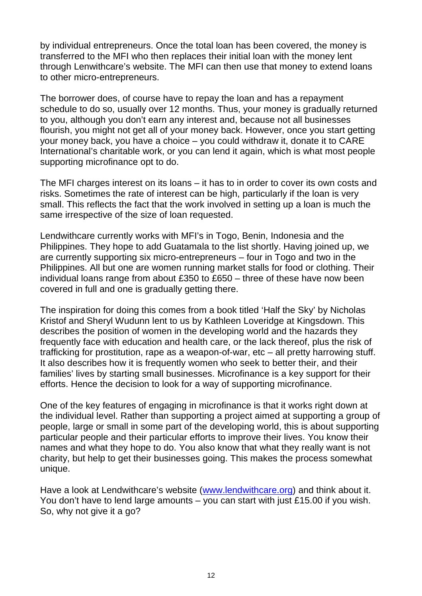by individual entrepreneurs. Once the total loan has been covered, the money is transferred to the MFI who then replaces their initial loan with the money lent through Lenwithcare's website. The MFI can then use that money to extend loans to other micro-entrepreneurs.

The borrower does, of course have to repay the loan and has a repayment schedule to do so, usually over 12 months. Thus, your money is gradually returned to you, although you don't earn any interest and, because not all businesses flourish, you might not get all of your money back. However, once you start getting your money back, you have a choice – you could withdraw it, donate it to CARE International's charitable work, or you can lend it again, which is what most people supporting microfinance opt to do.

The MFI charges interest on its loans – it has to in order to cover its own costs and risks. Sometimes the rate of interest can be high, particularly if the loan is very small. This reflects the fact that the work involved in setting up a loan is much the same irrespective of the size of loan requested.

Lendwithcare currently works with MFI's in Togo, Benin, Indonesia and the Philippines. They hope to add Guatamala to the list shortly. Having joined up, we are currently supporting six micro-entrepreneurs – four in Togo and two in the Philippines. All but one are women running market stalls for food or clothing. Their individual loans range from about £350 to £650 – three of these have now been covered in full and one is gradually getting there.

The inspiration for doing this comes from a book titled 'Half the Sky' by Nicholas Kristof and Sheryl Wudunn lent to us by Kathleen Loveridge at Kingsdown. This describes the position of women in the developing world and the hazards they frequently face with education and health care, or the lack thereof, plus the risk of trafficking for prostitution, rape as a weapon-of-war, etc – all pretty harrowing stuff. It also describes how it is frequently women who seek to better their, and their families' lives by starting small businesses. Microfinance is a key support for their efforts. Hence the decision to look for a way of supporting microfinance.

One of the key features of engaging in microfinance is that it works right down at the individual level. Rather than supporting a project aimed at supporting a group of people, large or small in some part of the developing world, this is about supporting particular people and their particular efforts to improve their lives. You know their names and what they hope to do. You also know that what they really want is not charity, but help to get their businesses going. This makes the process somewhat unique.

Have a look at Lendwithcare's website (www.lendwithcare.org) and think about it. You don't have to lend large amounts – you can start with just £15.00 if you wish. So, why not give it a go?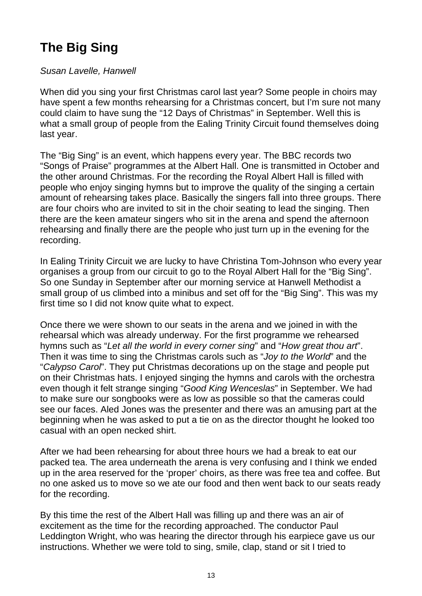## **The Big Sing**

#### Susan Lavelle, Hanwell

When did you sing your first Christmas carol last year? Some people in choirs may have spent a few months rehearsing for a Christmas concert, but I'm sure not many could claim to have sung the "12 Days of Christmas" in September. Well this is what a small group of people from the Ealing Trinity Circuit found themselves doing last year.

The "Big Sing" is an event, which happens every year. The BBC records two "Songs of Praise" programmes at the Albert Hall. One is transmitted in October and the other around Christmas. For the recording the Royal Albert Hall is filled with people who enjoy singing hymns but to improve the quality of the singing a certain amount of rehearsing takes place. Basically the singers fall into three groups. There are four choirs who are invited to sit in the choir seating to lead the singing. Then there are the keen amateur singers who sit in the arena and spend the afternoon rehearsing and finally there are the people who just turn up in the evening for the recording.

In Ealing Trinity Circuit we are lucky to have Christina Tom-Johnson who every year organises a group from our circuit to go to the Royal Albert Hall for the "Big Sing". So one Sunday in September after our morning service at Hanwell Methodist a small group of us climbed into a minibus and set off for the "Big Sing". This was my first time so I did not know quite what to expect.

Once there we were shown to our seats in the arena and we joined in with the rehearsal which was already underway. For the first programme we rehearsed hymns such as "Let all the world in every corner sing" and "How great thou art". Then it was time to sing the Christmas carols such as "Joy to the World" and the "Calypso Carol". They put Christmas decorations up on the stage and people put on their Christmas hats. I enjoyed singing the hymns and carols with the orchestra even though it felt strange singing "Good King Wenceslas" in September. We had to make sure our songbooks were as low as possible so that the cameras could see our faces. Aled Jones was the presenter and there was an amusing part at the beginning when he was asked to put a tie on as the director thought he looked too casual with an open necked shirt.

After we had been rehearsing for about three hours we had a break to eat our packed tea. The area underneath the arena is very confusing and I think we ended up in the area reserved for the 'proper' choirs, as there was free tea and coffee. But no one asked us to move so we ate our food and then went back to our seats ready for the recording.

By this time the rest of the Albert Hall was filling up and there was an air of excitement as the time for the recording approached. The conductor Paul Leddington Wright, who was hearing the director through his earpiece gave us our instructions. Whether we were told to sing, smile, clap, stand or sit I tried to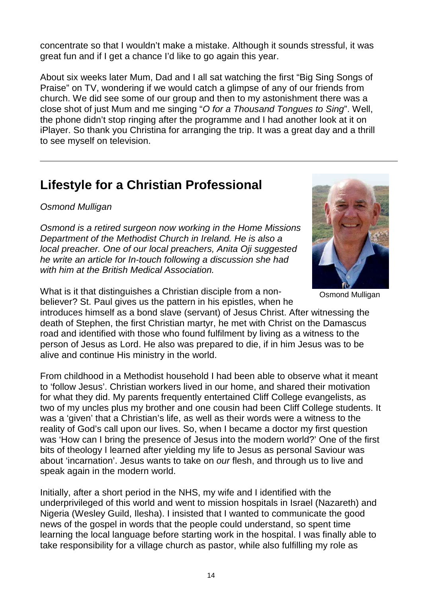concentrate so that I wouldn't make a mistake. Although it sounds stressful, it was great fun and if I get a chance I'd like to go again this year.

About six weeks later Mum, Dad and I all sat watching the first "Big Sing Songs of Praise" on TV, wondering if we would catch a glimpse of any of our friends from church. We did see some of our group and then to my astonishment there was a close shot of just Mum and me singing "O for a Thousand Tongues to Sing". Well, the phone didn't stop ringing after the programme and I had another look at it on iPlayer. So thank you Christina for arranging the trip. It was a great day and a thrill to see myself on television.

### **Lifestyle for a Christian Professional**

#### Osmond Mulligan

Osmond is a retired surgeon now working in the Home Missions Department of the Methodist Church in Ireland. He is also a local preacher. One of our local preachers, Anita Oji suggested he write an article for In-touch following a discussion she had with him at the British Medical Association.

What is it that distinguishes a Christian disciple from a nonbeliever? St. Paul gives us the pattern in his epistles, when he

introduces himself as a bond slave (servant) of Jesus Christ. After witnessing the death of Stephen, the first Christian martyr, he met with Christ on the Damascus road and identified with those who found fulfilment by living as a witness to the person of Jesus as Lord. He also was prepared to die, if in him Jesus was to be alive and continue His ministry in the world.

From childhood in a Methodist household I had been able to observe what it meant to 'follow Jesus'. Christian workers lived in our home, and shared their motivation for what they did. My parents frequently entertained Cliff College evangelists, as two of my uncles plus my brother and one cousin had been Cliff College students. It was a 'given' that a Christian's life, as well as their words were a witness to the reality of God's call upon our lives. So, when I became a doctor my first question was 'How can I bring the presence of Jesus into the modern world?' One of the first bits of theology I learned after yielding my life to Jesus as personal Saviour was about 'incarnation'. Jesus wants to take on our flesh, and through us to live and speak again in the modern world.

Initially, after a short period in the NHS, my wife and I identified with the underprivileged of this world and went to mission hospitals in Israel (Nazareth) and Nigeria (Wesley Guild, Ilesha). I insisted that I wanted to communicate the good news of the gospel in words that the people could understand, so spent time learning the local language before starting work in the hospital. I was finally able to take responsibility for a village church as pastor, while also fulfilling my role as



Osmond Mulligan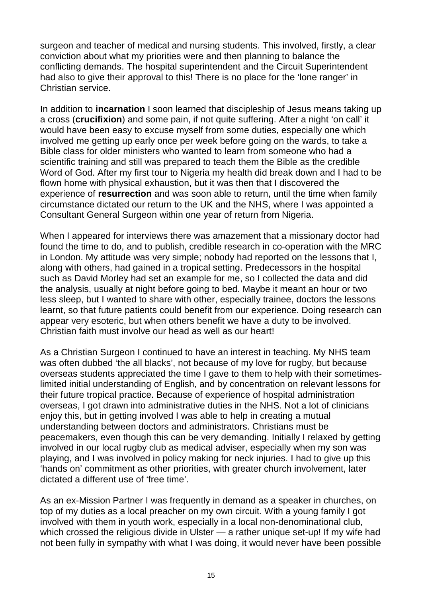surgeon and teacher of medical and nursing students. This involved, firstly, a clear conviction about what my priorities were and then planning to balance the conflicting demands. The hospital superintendent and the Circuit Superintendent had also to give their approval to this! There is no place for the 'lone ranger' in Christian service.

In addition to **incarnation** I soon learned that discipleship of Jesus means taking up a cross (**crucifixion**) and some pain, if not quite suffering. After a night 'on call' it would have been easy to excuse myself from some duties, especially one which involved me getting up early once per week before going on the wards, to take a Bible class for older ministers who wanted to learn from someone who had a scientific training and still was prepared to teach them the Bible as the credible Word of God. After my first tour to Nigeria my health did break down and I had to be flown home with physical exhaustion, but it was then that I discovered the experience of **resurrection** and was soon able to return, until the time when family circumstance dictated our return to the UK and the NHS, where I was appointed a Consultant General Surgeon within one year of return from Nigeria.

When I appeared for interviews there was amazement that a missionary doctor had found the time to do, and to publish, credible research in co-operation with the MRC in London. My attitude was very simple; nobody had reported on the lessons that I, along with others, had gained in a tropical setting. Predecessors in the hospital such as David Morley had set an example for me, so I collected the data and did the analysis, usually at night before going to bed. Maybe it meant an hour or two less sleep, but I wanted to share with other, especially trainee, doctors the lessons learnt, so that future patients could benefit from our experience. Doing research can appear very esoteric, but when others benefit we have a duty to be involved. Christian faith must involve our head as well as our heart!

As a Christian Surgeon I continued to have an interest in teaching. My NHS team was often dubbed 'the all blacks', not because of my love for rugby, but because overseas students appreciated the time I gave to them to help with their sometimeslimited initial understanding of English, and by concentration on relevant lessons for their future tropical practice. Because of experience of hospital administration overseas, I got drawn into administrative duties in the NHS. Not a lot of clinicians enjoy this, but in getting involved I was able to help in creating a mutual understanding between doctors and administrators. Christians must be peacemakers, even though this can be very demanding. Initially I relaxed by getting involved in our local rugby club as medical adviser, especially when my son was playing, and I was involved in policy making for neck injuries. I had to give up this 'hands on' commitment as other priorities, with greater church involvement, later dictated a different use of 'free time'.

As an ex-Mission Partner I was frequently in demand as a speaker in churches, on top of my duties as a local preacher on my own circuit. With a young family I got involved with them in youth work, especially in a local non-denominational club, which crossed the religious divide in Ulster — a rather unique set-up! If my wife had not been fully in sympathy with what I was doing, it would never have been possible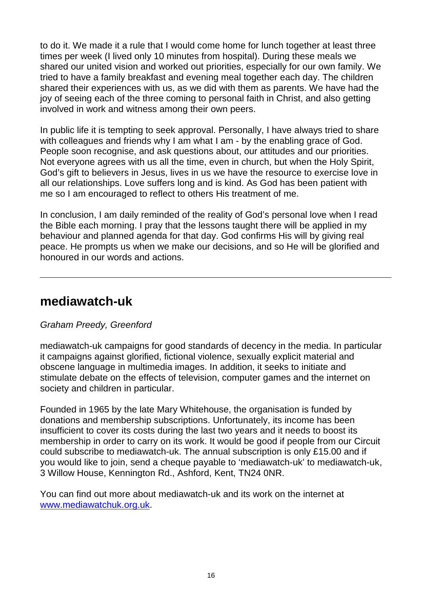to do it. We made it a rule that I would come home for lunch together at least three times per week (I lived only 10 minutes from hospital). During these meals we shared our united vision and worked out priorities, especially for our own family. We tried to have a family breakfast and evening meal together each day. The children shared their experiences with us, as we did with them as parents. We have had the joy of seeing each of the three coming to personal faith in Christ, and also getting involved in work and witness among their own peers.

In public life it is tempting to seek approval. Personally, I have always tried to share with colleagues and friends why I am what I am - by the enabling grace of God. People soon recognise, and ask questions about, our attitudes and our priorities. Not everyone agrees with us all the time, even in church, but when the Holy Spirit, God's gift to believers in Jesus, lives in us we have the resource to exercise love in all our relationships. Love suffers long and is kind. As God has been patient with me so I am encouraged to reflect to others His treatment of me.

In conclusion, I am daily reminded of the reality of God's personal love when I read the Bible each morning. I pray that the lessons taught there will be applied in my behaviour and planned agenda for that day. God confirms His will by giving real peace. He prompts us when we make our decisions, and so He will be glorified and honoured in our words and actions.

### **mediawatch-uk**

#### Graham Preedy, Greenford

mediawatch-uk campaigns for good standards of decency in the media. In particular it campaigns against glorified, fictional violence, sexually explicit material and obscene language in multimedia images. In addition, it seeks to initiate and stimulate debate on the effects of television, computer games and the internet on society and children in particular.

Founded in 1965 by the late Mary Whitehouse, the organisation is funded by donations and membership subscriptions. Unfortunately, its income has been insufficient to cover its costs during the last two years and it needs to boost its membership in order to carry on its work. It would be good if people from our Circuit could subscribe to mediawatch-uk. The annual subscription is only £15.00 and if you would like to join, send a cheque payable to 'mediawatch-uk' to mediawatch-uk, 3 Willow House, Kennington Rd., Ashford, Kent, TN24 0NR.

You can find out more about mediawatch-uk and its work on the internet at www.mediawatchuk.org.uk.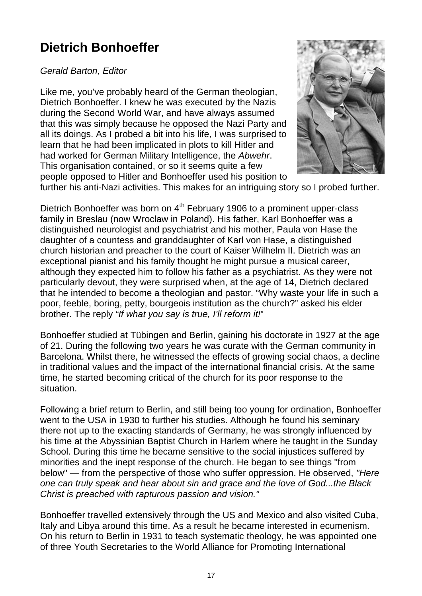## **Dietrich Bonhoeffer**

Gerald Barton, Editor

Like me, you've probably heard of the German theologian, Dietrich Bonhoeffer. I knew he was executed by the Nazis during the Second World War, and have always assumed that this was simply because he opposed the Nazi Party and all its doings. As I probed a bit into his life, I was surprised to learn that he had been implicated in plots to kill Hitler and had worked for German Military Intelligence, the Abwehr. This organisation contained, or so it seems quite a few people opposed to Hitler and Bonhoeffer used his position to



further his anti-Nazi activities. This makes for an intriguing story so I probed further.

Dietrich Bonhoeffer was born on 4<sup>th</sup> February 1906 to a prominent upper-class family in Breslau (now Wroclaw in Poland). His father, Karl Bonhoeffer was a distinguished neurologist and psychiatrist and his mother, Paula von Hase the daughter of a countess and granddaughter of Karl von Hase, a distinguished church historian and preacher to the court of Kaiser Wilhelm II. Dietrich was an exceptional pianist and his family thought he might pursue a musical career, although they expected him to follow his father as a psychiatrist. As they were not particularly devout, they were surprised when, at the age of 14, Dietrich declared that he intended to become a theologian and pastor. "Why waste your life in such a poor, feeble, boring, petty, bourgeois institution as the church?" asked his elder brother. The reply "If what you say is true, I'll reform it!"

Bonhoeffer studied at Tübingen and Berlin, gaining his doctorate in 1927 at the age of 21. During the following two years he was curate with the German community in Barcelona. Whilst there, he witnessed the effects of growing social chaos, a decline in traditional values and the impact of the international financial crisis. At the same time, he started becoming critical of the church for its poor response to the situation.

Following a brief return to Berlin, and still being too young for ordination, Bonhoeffer went to the USA in 1930 to further his studies. Although he found his seminary there not up to the exacting standards of Germany, he was strongly influenced by his time at the Abyssinian Baptist Church in Harlem where he taught in the Sunday School. During this time he became sensitive to the social injustices suffered by minorities and the inept response of the church. He began to see things "from below" — from the perspective of those who suffer oppression. He observed, "Here one can truly speak and hear about sin and grace and the love of God...the Black Christ is preached with rapturous passion and vision."

Bonhoeffer travelled extensively through the US and Mexico and also visited Cuba, Italy and Libya around this time. As a result he became interested in ecumenism. On his return to Berlin in 1931 to teach systematic theology, he was appointed one of three Youth Secretaries to the World Alliance for Promoting International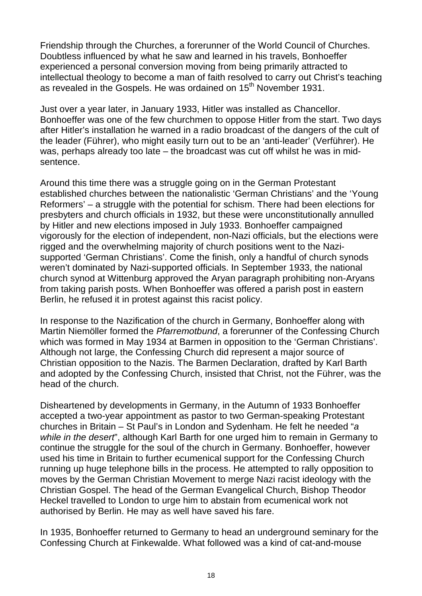Friendship through the Churches, a forerunner of the World Council of Churches. Doubtless influenced by what he saw and learned in his travels, Bonhoeffer experienced a personal conversion moving from being primarily attracted to intellectual theology to become a man of faith resolved to carry out Christ's teaching as revealed in the Gospels. He was ordained on 15<sup>th</sup> November 1931.

Just over a year later, in January 1933, Hitler was installed as Chancellor. Bonhoeffer was one of the few churchmen to oppose Hitler from the start. Two days after Hitler's installation he warned in a radio broadcast of the dangers of the cult of the leader (Führer), who might easily turn out to be an 'anti-leader' (Verführer). He was, perhaps already too late – the broadcast was cut off whilst he was in midsentence.

Around this time there was a struggle going on in the German Protestant established churches between the nationalistic 'German Christians' and the 'Young Reformers' – a struggle with the potential for schism. There had been elections for presbyters and church officials in 1932, but these were unconstitutionally annulled by Hitler and new elections imposed in July 1933. Bonhoeffer campaigned vigorously for the election of independent, non-Nazi officials, but the elections were rigged and the overwhelming majority of church positions went to the Nazisupported 'German Christians'. Come the finish, only a handful of church synods weren't dominated by Nazi-supported officials. In September 1933, the national church synod at Wittenburg approved the Aryan paragraph prohibiting non-Aryans from taking parish posts. When Bonhoeffer was offered a parish post in eastern Berlin, he refused it in protest against this racist policy.

In response to the Nazification of the church in Germany, Bonhoeffer along with Martin Niemöller formed the Pfarremotbund, a forerunner of the Confessing Church which was formed in May 1934 at Barmen in opposition to the 'German Christians'. Although not large, the Confessing Church did represent a major source of Christian opposition to the Nazis. The Barmen Declaration, drafted by Karl Barth and adopted by the Confessing Church, insisted that Christ, not the Führer, was the head of the church.

Disheartened by developments in Germany, in the Autumn of 1933 Bonhoeffer accepted a two-year appointment as pastor to two German-speaking Protestant churches in Britain – St Paul's in London and Sydenham. He felt he needed "a while in the desert", although Karl Barth for one urged him to remain in Germany to continue the struggle for the soul of the church in Germany. Bonhoeffer, however used his time in Britain to further ecumenical support for the Confessing Church running up huge telephone bills in the process. He attempted to rally opposition to moves by the German Christian Movement to merge Nazi racist ideology with the Christian Gospel. The head of the German Evangelical Church, Bishop Theodor Heckel travelled to London to urge him to abstain from ecumenical work not authorised by Berlin. He may as well have saved his fare.

In 1935, Bonhoeffer returned to Germany to head an underground seminary for the Confessing Church at Finkewalde. What followed was a kind of cat-and-mouse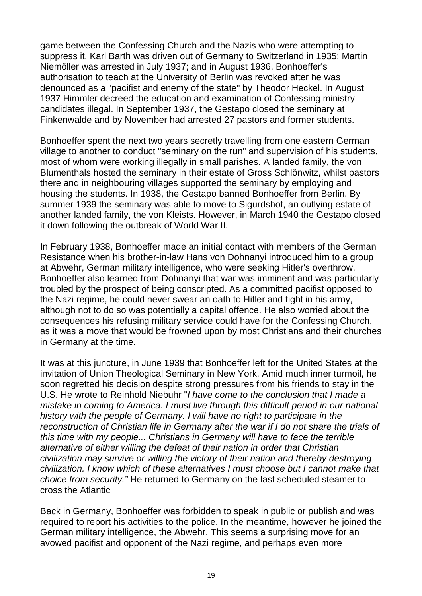game between the Confessing Church and the Nazis who were attempting to suppress it. Karl Barth was driven out of Germany to Switzerland in 1935; Martin Niemöller was arrested in July 1937; and in August 1936, Bonhoeffer's authorisation to teach at the University of Berlin was revoked after he was denounced as a "pacifist and enemy of the state" by Theodor Heckel. In August 1937 Himmler decreed the education and examination of Confessing ministry candidates illegal. In September 1937, the Gestapo closed the seminary at Finkenwalde and by November had arrested 27 pastors and former students.

Bonhoeffer spent the next two years secretly travelling from one eastern German village to another to conduct "seminary on the run" and supervision of his students, most of whom were working illegally in small parishes. A landed family, the von Blumenthals hosted the seminary in their estate of Gross Schlönwitz, whilst pastors there and in neighbouring villages supported the seminary by employing and housing the students. In 1938, the Gestapo banned Bonhoeffer from Berlin. By summer 1939 the seminary was able to move to Sigurdshof, an outlying estate of another landed family, the von Kleists. However, in March 1940 the Gestapo closed it down following the outbreak of World War II.

In February 1938, Bonhoeffer made an initial contact with members of the German Resistance when his brother-in-law Hans von Dohnanyi introduced him to a group at Abwehr, German military intelligence, who were seeking Hitler's overthrow. Bonhoeffer also learned from Dohnanyi that war was imminent and was particularly troubled by the prospect of being conscripted. As a committed pacifist opposed to the Nazi regime, he could never swear an oath to Hitler and fight in his army, although not to do so was potentially a capital offence. He also worried about the consequences his refusing military service could have for the Confessing Church, as it was a move that would be frowned upon by most Christians and their churches in Germany at the time.

It was at this juncture, in June 1939 that Bonhoeffer left for the United States at the invitation of Union Theological Seminary in New York. Amid much inner turmoil, he soon regretted his decision despite strong pressures from his friends to stay in the U.S. He wrote to Reinhold Niebuhr "I have come to the conclusion that I made a mistake in coming to America. I must live through this difficult period in our national history with the people of Germany. I will have no right to participate in the reconstruction of Christian life in Germany after the war if I do not share the trials of this time with my people... Christians in Germany will have to face the terrible alternative of either willing the defeat of their nation in order that Christian civilization may survive or willing the victory of their nation and thereby destroying civilization. I know which of these alternatives I must choose but I cannot make that choice from security." He returned to Germany on the last scheduled steamer to cross the Atlantic

Back in Germany, Bonhoeffer was forbidden to speak in public or publish and was required to report his activities to the police. In the meantime, however he joined the German military intelligence, the Abwehr. This seems a surprising move for an avowed pacifist and opponent of the Nazi regime, and perhaps even more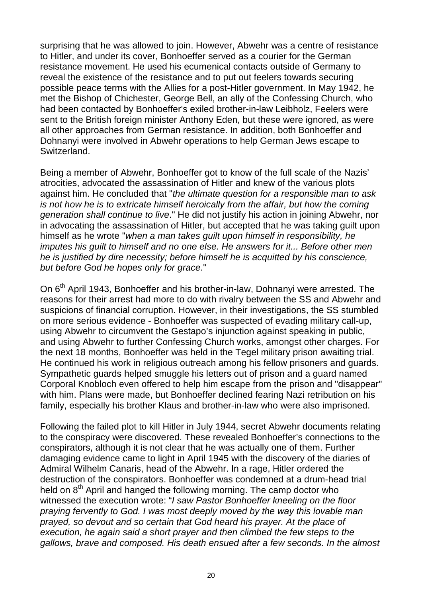surprising that he was allowed to join. However, Abwehr was a centre of resistance to Hitler, and under its cover, Bonhoeffer served as a courier for the German resistance movement. He used his ecumenical contacts outside of Germany to reveal the existence of the resistance and to put out feelers towards securing possible peace terms with the Allies for a post-Hitler government. In May 1942, he met the Bishop of Chichester, George Bell, an ally of the Confessing Church, who had been contacted by Bonhoeffer's exiled brother-in-law Leibholz, Feelers were sent to the British foreign minister Anthony Eden, but these were ignored, as were all other approaches from German resistance. In addition, both Bonhoeffer and Dohnanyi were involved in Abwehr operations to help German Jews escape to Switzerland.

Being a member of Abwehr, Bonhoeffer got to know of the full scale of the Nazis' atrocities, advocated the assassination of Hitler and knew of the various plots against him. He concluded that "the ultimate question for a responsible man to ask is not how he is to extricate himself heroically from the affair, but how the coming generation shall continue to live." He did not justify his action in joining Abwehr, nor in advocating the assassination of Hitler, but accepted that he was taking guilt upon himself as he wrote "when a man takes guilt upon himself in responsibility, he imputes his guilt to himself and no one else. He answers for it... Before other men he is justified by dire necessity; before himself he is acquitted by his conscience, but before God he hopes only for grace."

On 6<sup>th</sup> April 1943, Bonhoeffer and his brother-in-law, Dohnanyi were arrested. The reasons for their arrest had more to do with rivalry between the SS and Abwehr and suspicions of financial corruption. However, in their investigations, the SS stumbled on more serious evidence - Bonhoeffer was suspected of evading military call-up, using Abwehr to circumvent the Gestapo's injunction against speaking in public, and using Abwehr to further Confessing Church works, amongst other charges. For the next 18 months, Bonhoeffer was held in the Tegel military prison awaiting trial. He continued his work in religious outreach among his fellow prisoners and guards. Sympathetic guards helped smuggle his letters out of prison and a guard named Corporal Knobloch even offered to help him escape from the prison and "disappear" with him. Plans were made, but Bonhoeffer declined fearing Nazi retribution on his family, especially his brother Klaus and brother-in-law who were also imprisoned.

Following the failed plot to kill Hitler in July 1944, secret Abwehr documents relating to the conspiracy were discovered. These revealed Bonhoeffer's connections to the conspirators, although it is not clear that he was actually one of them. Further damaging evidence came to light in April 1945 with the discovery of the diaries of Admiral Wilhelm Canaris, head of the Abwehr. In a rage, Hitler ordered the destruction of the conspirators. Bonhoeffer was condemned at a drum-head trial held on  $8<sup>th</sup>$  April and hanged the following morning. The camp doctor who witnessed the execution wrote: "I saw Pastor Bonhoeffer kneeling on the floor praying fervently to God. I was most deeply moved by the way this lovable man prayed, so devout and so certain that God heard his prayer. At the place of execution, he again said a short prayer and then climbed the few steps to the gallows, brave and composed. His death ensued after a few seconds. In the almost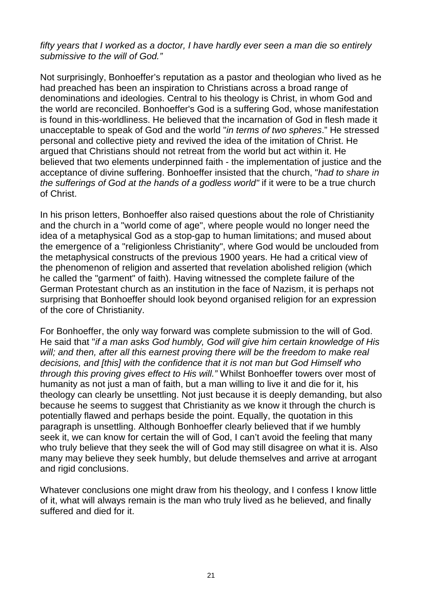fifty years that I worked as a doctor, I have hardly ever seen a man die so entirely submissive to the will of God."

Not surprisingly, Bonhoeffer's reputation as a pastor and theologian who lived as he had preached has been an inspiration to Christians across a broad range of denominations and ideologies. Central to his theology is Christ, in whom God and the world are reconciled. Bonhoeffer's God is a suffering God, whose manifestation is found in this-worldliness. He believed that the incarnation of God in flesh made it unacceptable to speak of God and the world "in terms of two spheres." He stressed personal and collective piety and revived the idea of the imitation of Christ. He argued that Christians should not retreat from the world but act within it. He believed that two elements underpinned faith - the implementation of justice and the acceptance of divine suffering. Bonhoeffer insisted that the church, "had to share in the sufferings of God at the hands of a godless world" if it were to be a true church of Christ.

In his prison letters, Bonhoeffer also raised questions about the role of Christianity and the church in a "world come of age", where people would no longer need the idea of a metaphysical God as a stop-gap to human limitations; and mused about the emergence of a "religionless Christianity", where God would be unclouded from the metaphysical constructs of the previous 1900 years. He had a critical view of the phenomenon of religion and asserted that revelation abolished religion (which he called the "garment" of faith). Having witnessed the complete failure of the German Protestant church as an institution in the face of Nazism, it is perhaps not surprising that Bonhoeffer should look beyond organised religion for an expression of the core of Christianity.

For Bonhoeffer, the only way forward was complete submission to the will of God. He said that "if a man asks God humbly, God will give him certain knowledge of His will; and then, after all this earnest proving there will be the freedom to make real decisions, and [this] with the confidence that it is not man but God Himself who through this proving gives effect to His will." Whilst Bonhoeffer towers over most of humanity as not just a man of faith, but a man willing to live it and die for it, his theology can clearly be unsettling. Not just because it is deeply demanding, but also because he seems to suggest that Christianity as we know it through the church is potentially flawed and perhaps beside the point. Equally, the quotation in this paragraph is unsettling. Although Bonhoeffer clearly believed that if we humbly seek it, we can know for certain the will of God, I can't avoid the feeling that many who truly believe that they seek the will of God may still disagree on what it is. Also many may believe they seek humbly, but delude themselves and arrive at arrogant and rigid conclusions.

Whatever conclusions one might draw from his theology, and I confess I know little of it, what will always remain is the man who truly lived as he believed, and finally suffered and died for it.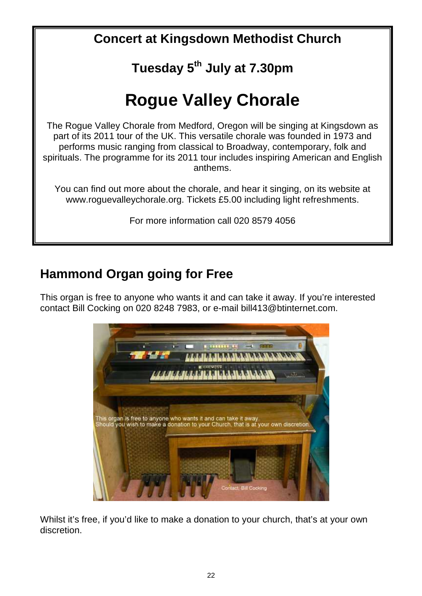**Concert at Kingsdown Methodist Church**

## **Tuesday 5th July at 7.30pm**

## **Rogue Valley Chorale**

The Rogue Valley Chorale from Medford, Oregon will be singing at Kingsdown as part of its 2011 tour of the UK. This versatile chorale was founded in 1973 and performs music ranging from classical to Broadway, contemporary, folk and spirituals. The programme for its 2011 tour includes inspiring American and English anthems.

You can find out more about the chorale, and hear it singing, on its website at www.roguevalleychorale.org. Tickets £5.00 including light refreshments.

For more information call 020 8579 4056

## **Hammond Organ going for Free**

This organ is free to anyone who wants it and can take it away. If you're interested contact Bill Cocking on 020 8248 7983, or e-mail bill413@btinternet.com.



Whilst it's free, if you'd like to make a donation to your church, that's at your own discretion.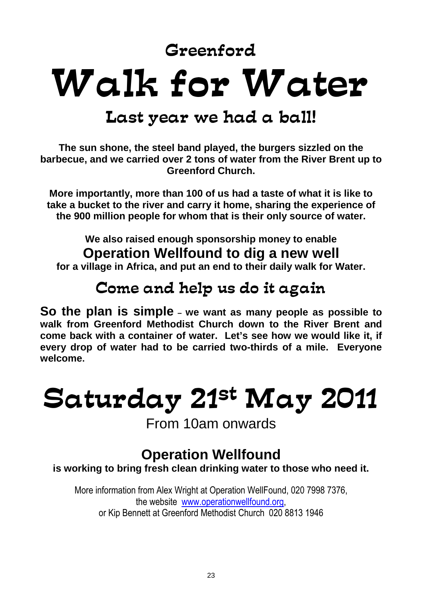Greenford

## Walk for Water

## Last year we had a ball!

**The sun shone, the steel band played, the burgers sizzled on the barbecue, and we carried over 2 tons of water from the River Brent up to Greenford Church.** 

**More importantly, more than 100 of us had a taste of what it is like to take a bucket to the river and carry it home, sharing the experience of the 900 million people for whom that is their only source of water.** 

**We also raised enough sponsorship money to enable Operation Wellfound to dig a new well** 

**for a village in Africa, and put an end to their daily walk for Water.** 

## Come and help us do it again

**So the plan is simple – we want as many people as possible to walk from Greenford Methodist Church down to the River Brent and come back with a container of water. Let's see how we would like it, if every drop of water had to be carried two-thirds of a mile. Everyone welcome.** 

## Saturday 21st May 2011

From 10am onwards

## **Operation Wellfound**

**is working to bring fresh clean drinking water to those who need it.** 

More information from Alex Wright at Operation WellFound, 020 7998 7376, the website www.operationwellfound.org, or Kip Bennett at Greenford Methodist Church 020 8813 1946